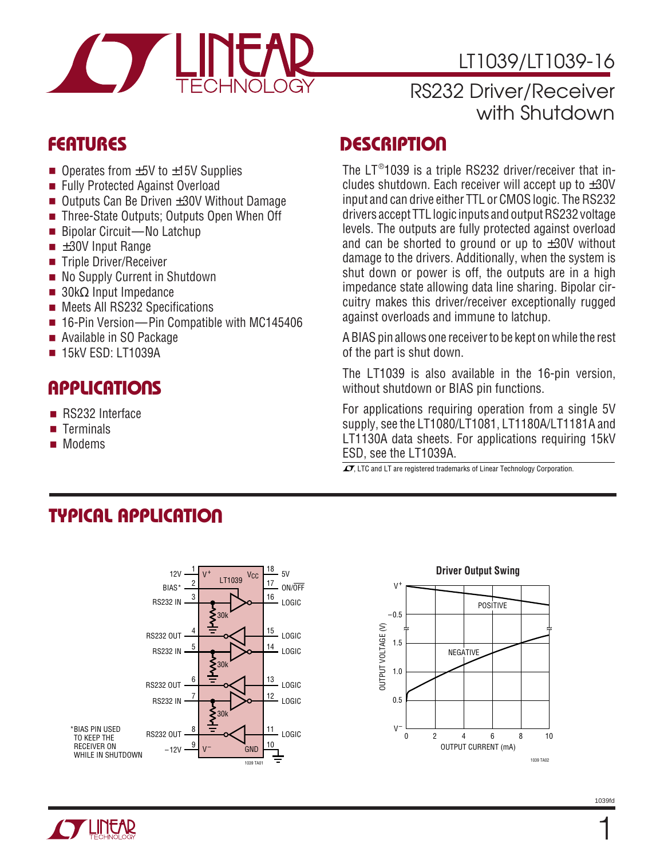

# LT1039/LT1039-16

## RS232 Driver/Receiver with Shutdown

- Operates from  $\pm 5V$  to  $\pm 15V$  Supplies
- Fully Protected Against Overload
- Outputs Can Be Driven ±30V Without Damage
- Three-State Outputs; Outputs Open When Off
- Bipolar Circuit—No Latchup
- $\blacksquare$   $\pm 30V$  Input Range
- Triple Driver/Receiver
- No Supply Current in Shutdown
- $\blacksquare$  30kΩ Input Impedance
- Meets All RS232 Specifications
- 16-Pin Version—Pin Compatible with MC145406
- Available in SO Package
- 15kV ESD: LT1039A

# **APPLICATIONS**

- RS232 Interface
- Terminals
- Modems

### **FEATURES DESCRIPTIO U**

The  $LT^{\circledast}$ 1039 is a triple RS232 driver/receiver that includes shutdown. Each receiver will accept up to  $\pm 30V$ input and can drive either TTL or CMOS logic. The RS232 drivers accept TTL logic inputs and output RS232 voltage levels. The outputs are fully protected against overload and can be shorted to ground or up to  $\pm 30V$  without damage to the drivers. Additionally, when the system is shut down or power is off, the outputs are in a high impedance state allowing data line sharing. Bipolar circuitry makes this driver/receiver exceptionally rugged against overloads and immune to latchup.

A BIAS pin allows one receiver to be kept on while the rest of the part is shut down.

The LT1039 is also available in the 16-pin version, without shutdown or BIAS pin functions.

For applications requiring operation from a single 5V supply, see the LT1080/LT1081, LT1180A/LT1181A and LT1130A data sheets. For applications requiring 15kV ESD, see the LT1039A.

 $\overline{\mathcal{A}}$ . LTC and LT are registered trademarks of Linear Technology Corporation.

# **TYPICAL APPLICATION**



# **Driver Output Swing**

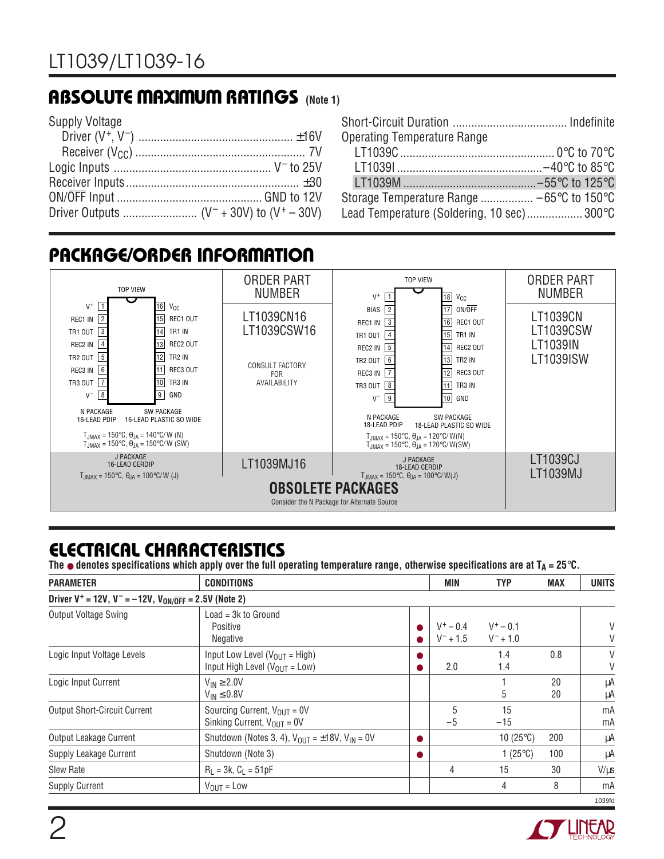# **ABSOLUTE MAXIMUM RATINGS** (Note 1)

| <b>Supply Voltage</b> |  |
|-----------------------|--|
|                       |  |
|                       |  |
|                       |  |
|                       |  |
|                       |  |
|                       |  |

| <b>Operating Temperature Range</b>         |  |
|--------------------------------------------|--|
|                                            |  |
|                                            |  |
|                                            |  |
| Storage Temperature Range  −65°C to 150°C  |  |
| Lead Temperature (Soldering, 10 sec) 300°C |  |

# **PACKAGE/ORDER INFORMATION**



# **ELECTRICAL CHARACTERISTICS**

The  $\bullet$  denotes specifications which apply over the full operating temperature range, otherwise specifications are at  $T_A = 25^\circ \text{C}$ .

| <b>PARAMETER</b>                                                                        | <b>CONDITIONS</b>                                                          |  |                            | <b>TYP</b>                 | <b>MAX</b> | <b>UNITS</b> |
|-----------------------------------------------------------------------------------------|----------------------------------------------------------------------------|--|----------------------------|----------------------------|------------|--------------|
| Driver V <sup>+</sup> = 12V, V <sup>-</sup> = -12V, V <sub>ON/OFF</sub> = 2.5V (Note 2) |                                                                            |  |                            |                            |            |              |
| <b>Output Voltage Swing</b>                                                             | $Load = 3k$ to Ground<br>Positive<br>Negative                              |  | $V^+ - 0.4$<br>$V^- + 1.5$ | $V^+ - 0.1$<br>$V^- + 1.0$ |            | V<br>V       |
| Logic Input Voltage Levels                                                              | Input Low Level ( $V_{OUT}$ = High)<br>Input High Level ( $V_{OUT}$ = Low) |  | 2.0                        | 1.4<br>1.4                 | 0.8        | V<br>V       |
| Logic Input Current                                                                     | $V_{IN} \geq 2.0V$<br>$V_{IN} \leq 0.8V$                                   |  |                            | 5                          | 20<br>20   | μA<br>μA     |
| <b>Output Short-Circuit Current</b>                                                     | Sourcing Current, $V_{OUT} = 0V$<br>Sinking Current, $V_{OIII} = 0V$       |  | 5<br>$-5$                  | 15<br>$-15$                |            | mA<br>mA     |
| Output Leakage Current                                                                  | Shutdown (Notes 3, 4), $V_{OUT} = \pm 18V$ , $V_{IN} = 0V$                 |  |                            | 10 $(25^{\circ}C)$         | 200        | μA           |
| Supply Leakage Current                                                                  | Shutdown (Note 3)                                                          |  |                            | 1 $(25^{\circ}C)$          | 100        | μA           |
| <b>Slew Rate</b>                                                                        | $R_1 = 3k$ , $C_1 = 51pF$                                                  |  | 4                          | 15                         | 30         | $V/\mu s$    |
| <b>Supply Current</b>                                                                   | $V_{OUT} = Low$                                                            |  |                            | 4                          | 8          | mA           |
|                                                                                         |                                                                            |  |                            |                            |            | 1039fd       |

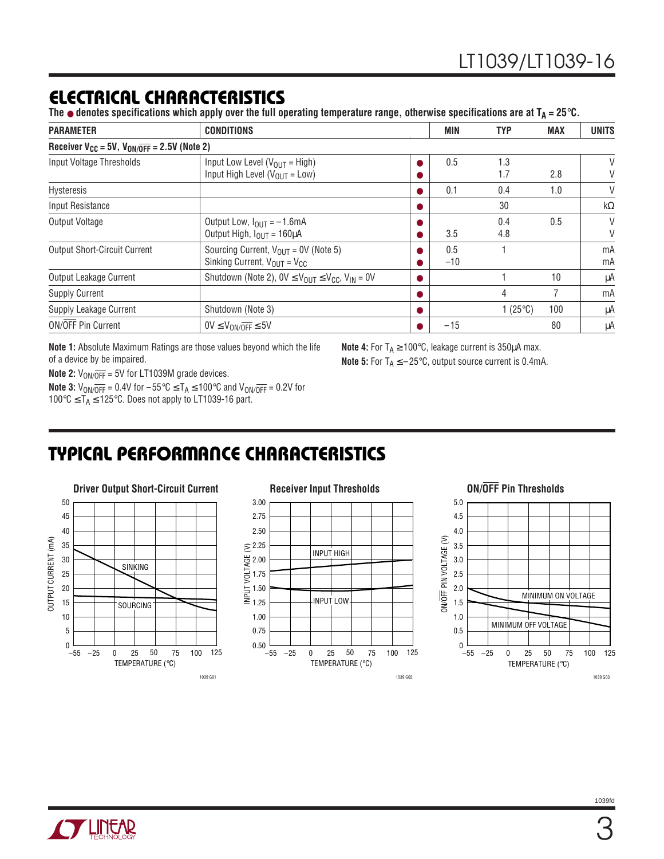### **ELECTRICAL CHARACTERISTICS**

The  $\bullet$  denotes specifications which apply over the full operating temperature range, otherwise specifications are at  $T_A = 25^\circ \text{C}$ .

| <b>PARAMETER</b>                                                | <b>CONDITIONS</b>                                                                     |  | <b>MIN</b>   | <b>TYP</b>        | <b>MAX</b> | <b>UNITS</b> |
|-----------------------------------------------------------------|---------------------------------------------------------------------------------------|--|--------------|-------------------|------------|--------------|
| Receiver $V_{CC}$ = 5V, $V_{ON/\overline{OFF}}$ = 2.5V (Note 2) |                                                                                       |  |              |                   |            |              |
| Input Voltage Thresholds                                        | Input Low Level ( $V_{OUT}$ = High)<br>Input High Level ( $V_{OUT}$ = Low)            |  | 0.5          | 1.3<br>1.7        | 2.8        | V<br>V       |
| Hysteresis                                                      |                                                                                       |  | 0.1          | 0.4               | 1.0        | V            |
| Input Resistance                                                |                                                                                       |  |              | 30                |            | $k\Omega$    |
| Output Voltage                                                  | Output Low, $I_{OIII} = -1.6$ mA<br>Output High, $I_{OUT} = 160 \mu A$                |  | 3.5          | 0.4<br>4.8        | 0.5        | V<br>$\vee$  |
| <b>Output Short-Circuit Current</b>                             | Sourcing Current, $V_{OIII}$ = 0V (Note 5)<br>Sinking Current, $V_{OUT} = V_{CC}$     |  | 0.5<br>$-10$ |                   |            | mA<br>mA     |
| Output Leakage Current                                          | Shutdown (Note 2), $0V \leq V_{\text{OUT}} \leq V_{\text{CC}}$ , $V_{\text{IN}} = 0V$ |  |              |                   | 10         | μA           |
| <b>Supply Current</b>                                           |                                                                                       |  |              | 4                 |            | mA           |
| Supply Leakage Current                                          | Shutdown (Note 3)                                                                     |  |              | 1 $(25^{\circ}C)$ | 100        | μA           |
| <b>ON/OFF Pin Current</b>                                       | $0V \leq V_{ON/OFF} \leq 5V$                                                          |  | $-15$        |                   | 80         | μA           |

**Note 1:** Absolute Maximum Ratings are those values beyond which the life of a device by be impaired.

**Note 4:** For  $T_A \ge 100^\circ \text{C}$ , leakage current is 350 $\mu$ A max. **Note 5:** For  $T_A \le -25^\circ \text{C}$ , output source current is 0.4mA.

**Note 2:**  $V_{ON/\overline{OFF}} = 5V$  for LT1039M grade devices.

**Note 3:**  $V_{\text{ON}/\overline{\text{OFF}}}$  = 0.4V for  $-55^{\circ}\text{C} \leq T_A \leq 100^{\circ}\text{C}$  and  $V_{\text{ON}/\overline{\text{OFF}}}$  = 0.2V for 100 $\degree$ C ≤ T<sub>A</sub> ≤ 125 $\degree$ C. Does not apply to LT1039-16 part.

# **TYPICAL PERFORMANCE CHARACTERISTICS W U**





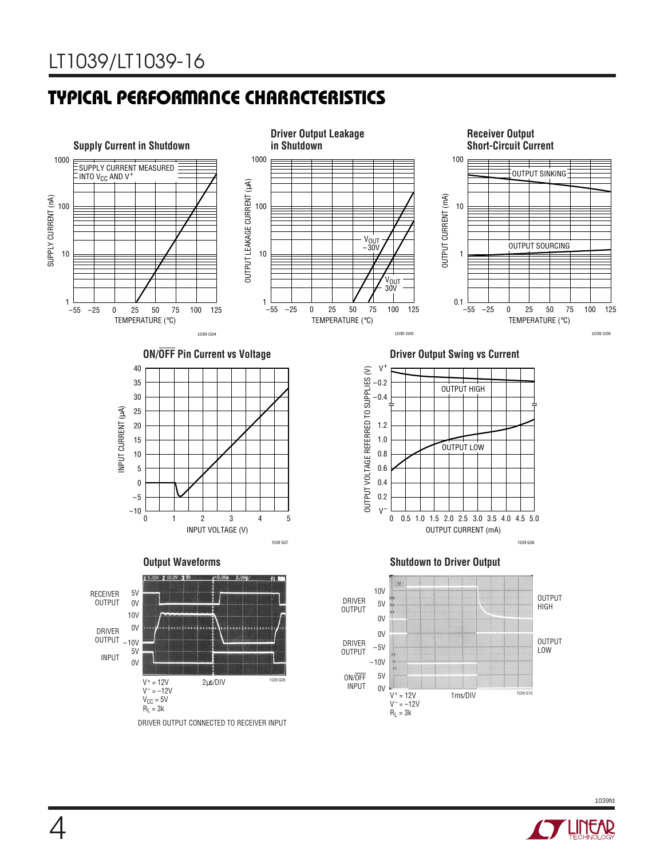# **TYPICAL PERFORMANCE CHARACTERISTICS W U**





1039fd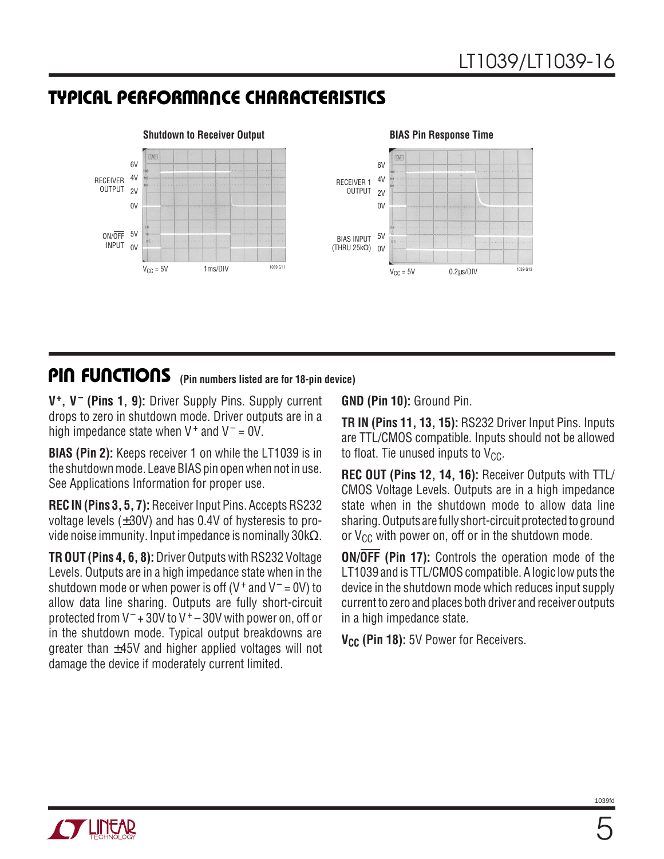## **TYPICAL PERFORMANCE CHARACTERISTICS W U**



### **PIN FUNCTIONS** (Pin numbers listed are for 18-pin device)

**V+, V– (Pins 1, 9):** Driver Supply Pins. Supply current drops to zero in shutdown mode. Driver outputs are in a high impedance state when  $V^+$  and  $V^-$  = 0V.

**BIAS (Pin 2):** Keeps receiver 1 on while the LT1039 is in the shutdown mode. Leave BIAS pin open when not in use. See Applications Information for proper use.

**REC IN (Pins 3, 5, 7):** Receiver Input Pins. Accepts RS232 voltage levels  $(\pm 30V)$  and has 0.4V of hysteresis to provide noise immunity. Input impedance is nominally 30kΩ.

**TR OUT (Pins 4, 6, 8):** Driver Outputs with RS232 Voltage Levels. Outputs are in a high impedance state when in the shutdown mode or when power is off (V<sup>+</sup> and V<sup>-</sup> = 0V) to allow data line sharing. Outputs are fully short-circuit protected from  $V^-$  + 30V to  $V^+$  – 30V with power on, off or in the shutdown mode. Typical output breakdowns are greater than ±45V and higher applied voltages will not damage the device if moderately current limited.

**GND (Pin 10):** Ground Pin.

**TR IN (Pins 11, 13, 15):** RS232 Driver Input Pins. Inputs are TTL/CMOS compatible. Inputs should not be allowed to float. Tie unused inputs to  $V_{CC}$ .

**REC OUT (Pins 12, 14, 16):** Receiver Outputs with TTL/ CMOS Voltage Levels. Outputs are in a high impedance state when in the shutdown mode to allow data line sharing. Outputs are fully short-circuit protected to ground or  $V_{CC}$  with power on, off or in the shutdown mode.

**ON/OFF (Pin 17):** Controls the operation mode of the LT1039 and is TTL/CMOS compatible. A logic low puts the device in the shutdown mode which reduces input supply current to zero and places both driver and receiver outputs in a high impedance state.

**V<sub>CC</sub>** (Pin 18): 5V Power for Receivers.

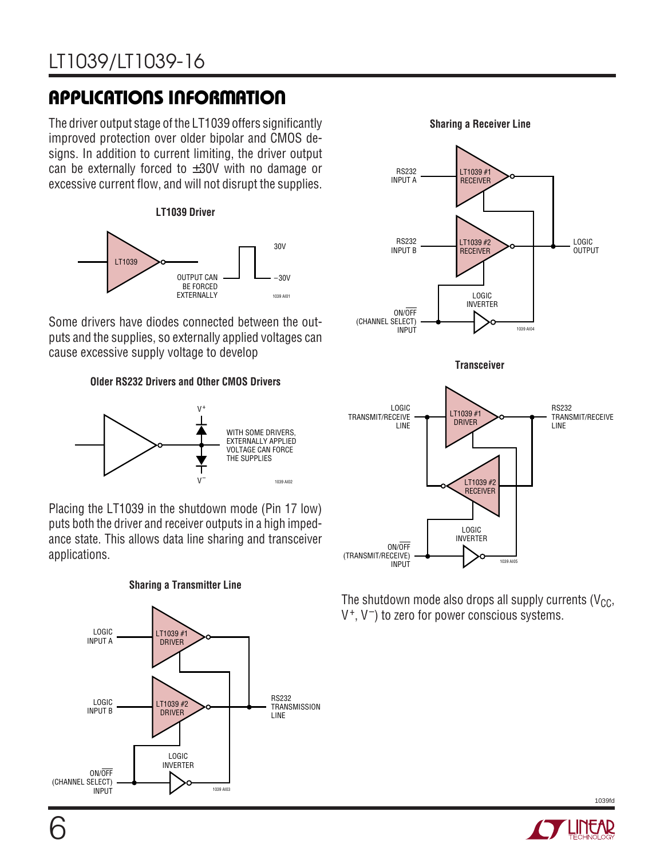# LT1039/LT1039-16

# **APPLICATIONS INFORMATION U W U U**

The driver output stage of the LT1039 offers significantly improved protection over older bipolar and CMOS designs. In addition to current limiting, the driver output can be externally forced to  $\pm 30V$  with no damage or excessive current flow, and will not disrupt the supplies.





Some drivers have diodes connected between the outputs and the supplies, so externally applied voltages can cause excessive supply voltage to develop

**Older RS232 Drivers and Other CMOS Drivers**



Placing the LT1039 in the shutdown mode (Pin 17 low) puts both the driver and receiver outputs in a high impedance state. This allows data line sharing and transceiver applications.





**Sharing a Receiver Line**



The shutdown mode also drops all supply currents ( $V_{CC}$ , V+, V–) to zero for power conscious systems.



1039fd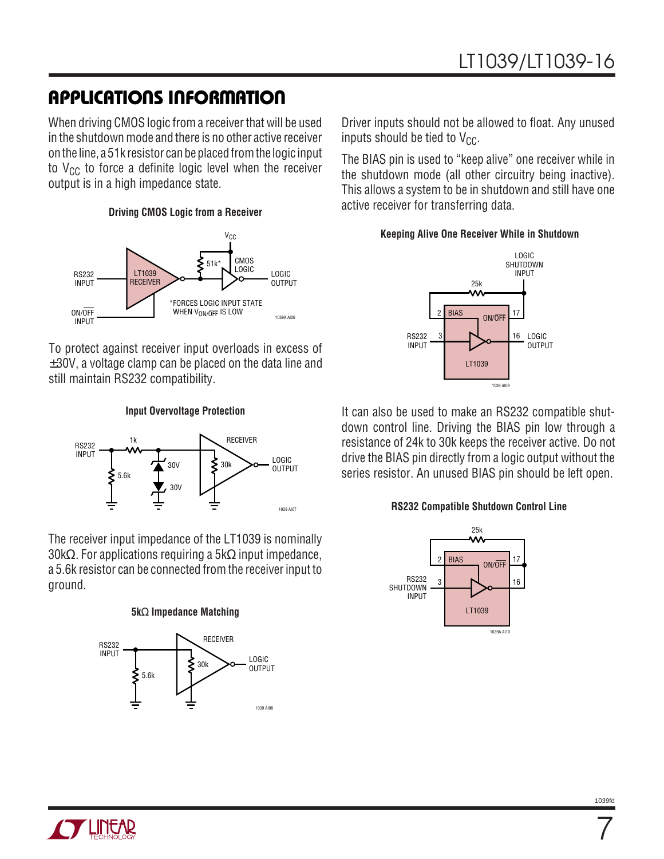# **APPLICATIONS INFORMATION U W U U**

When driving CMOS logic from a receiver that will be used in the shutdown mode and there is no other active receiver on the line, a 51k resistor can be placed from the logic input to  $V_{CC}$  to force a definite logic level when the receiver output is in a high impedance state.

#### **Driving CMOS Logic from a Receiver**



To protect against receiver input overloads in excess of  $\pm 30$ V, a voltage clamp can be placed on the data line and still maintain RS232 compatibility.

#### **Input Overvoltage Protection**



The receiver input impedance of the LT1039 is nominally 30kΩ. For applications requiring a 5kΩ input impedance, a 5.6k resistor can be connected from the receiver input to ground.

#### **5k**Ω **Impedance Matching**



Driver inputs should not be allowed to float. Any unused inputs should be tied to  $V_{CC}$ .

The BIAS pin is used to "keep alive" one receiver while in the shutdown mode (all other circuitry being inactive). This allows a system to be in shutdown and still have one active receiver for transferring data.

#### **Keeping Alive One Receiver While in Shutdown**



It can also be used to make an RS232 compatible shutdown control line. Driving the BIAS pin low through a resistance of 24k to 30k keeps the receiver active. Do not drive the BIAS pin directly from a logic output without the series resistor. An unused BIAS pin should be left open.

#### **RS232 Compatible Shutdown Control Line**



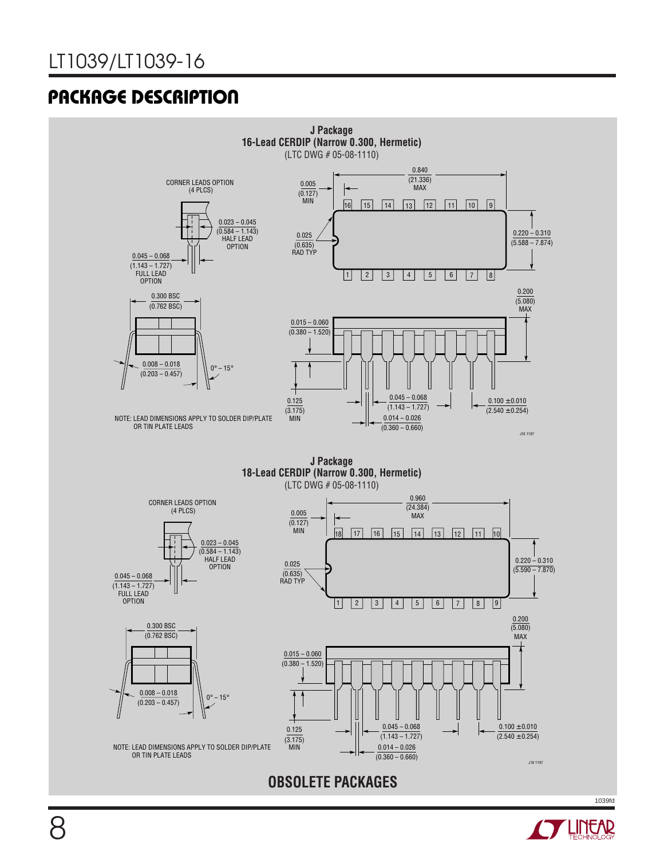

**LINEAR**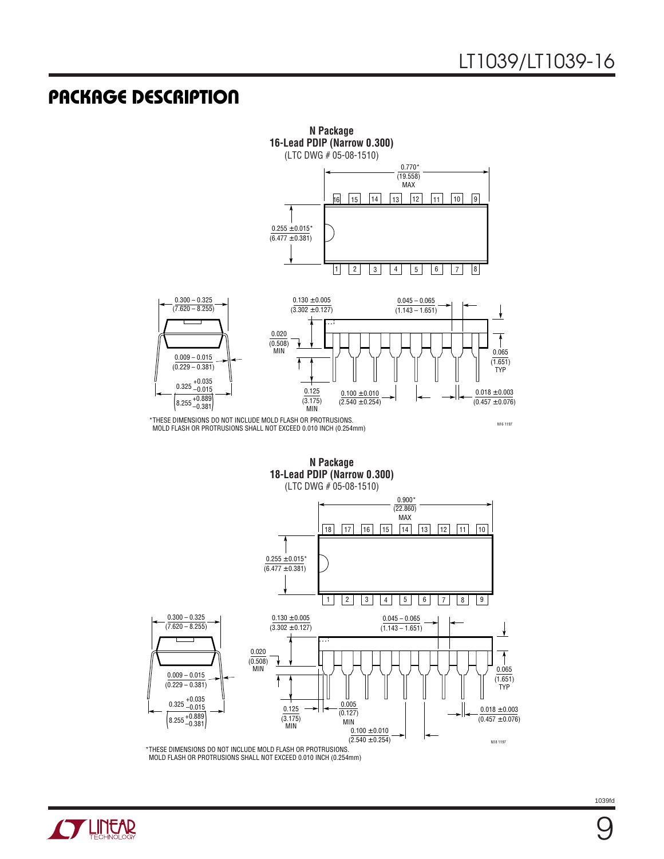

MOLD FLASH OR PROTRUSIONS SHALL NOT EXCEED 0.010 INCH (0.254mm)

**N Package 18-Lead PDIP (Narrow 0.300)** (LTC DWG # 05-08-1510)



\*THESE DIMENSIONS DO NOT INCLUDE MOLD FLASH OR PROTRUSIONS. MOLD FLASH OR PROTRUSIONS SHALL NOT EXCEED 0.010 INCH (0.254mm)

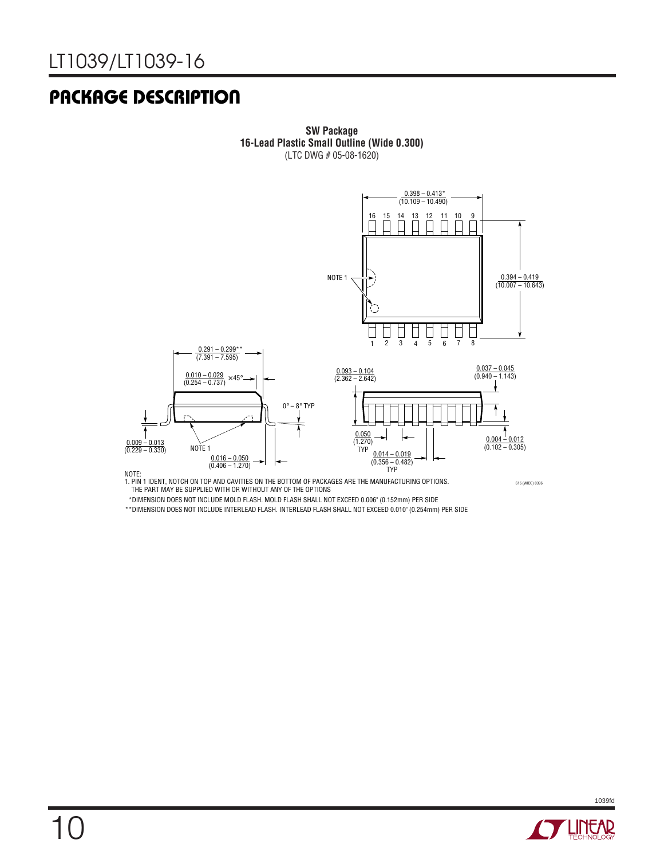

**SW Package 16-Lead Plastic Small Outline (Wide 0.300)** (LTC DWG # 05-08-1620)

NOTE:<br>1. PIN 1 IDENT, NOTCH ON TOP AND CAVITIES ON THE BOTTOM OF PACKAGES ARE THE MANUFACTURING OPTIONS.<br>THE PART MAY BE SUPPLIED WITH OR WITHOUT ANY OF THE OPTIONS

S16 (WIDE) 0396

\*DIMENSION DOES NOT INCLUDE MOLD FLASH. MOLD FLASH SHALL NOT EXCEED 0.006" (0.152mm) PER SIDE

\*\*DIMENSION DOES NOT INCLUDE INTERLEAD FLASH. INTERLEAD FLASH SHALL NOT EXCEED 0.010" (0.254mm) PER SIDE



1039fd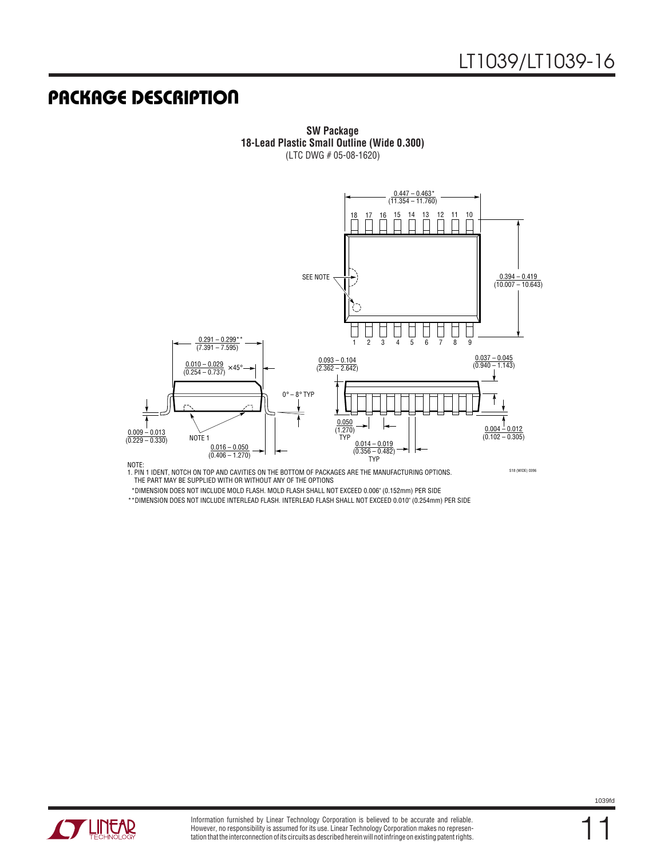

**SW Package 18-Lead Plastic Small Outline (Wide 0.300)** (LTC DWG # 05-08-1620)

NOTE:<br>1. PIN 1 IDENT, NOTCH ON TOP AND CAVITIES ON THE BOTTOM OF PACKAGES ARE THE MANUFACTURING OPTIONS. THE PART MAY BE SUPPLIED WITH OR WITHOUT ANY OF THE OPTIONS

S18 (WIDE) 0396

\*DIMENSION DOES NOT INCLUDE MOLD FLASH. MOLD FLASH SHALL NOT EXCEED 0.006" (0.152mm) PER SIDE

\*\*DIMENSION DOES NOT INCLUDE INTERLEAD FLASH. INTERLEAD FLASH SHALL NOT EXCEED 0.010" (0.254mm) PER SIDE